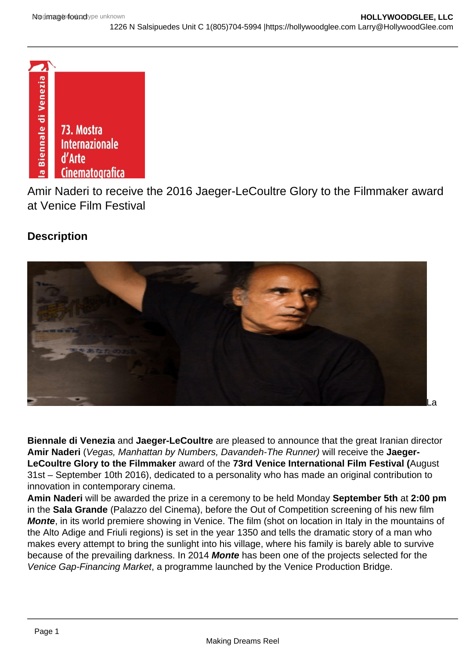

Amir Naderi to receive the 2016 Jaeger-LeCoultre Glory to the Filmmaker award at Venice Film Festival

## **Description**



**Biennale di Venezia** and **Jaeger-LeCoultre** are pleased to announce that the great Iranian director **Amir Naderi** (Vegas, Manhattan by Numbers, Davandeh-The Runner) will receive the **Jaeger-LeCoultre Glory to the Filmmaker** award of the **73rd Venice International Film Festival (**August 31st – September 10th 2016), dedicated to a personality who has made an original contribution to innovation in contemporary cinema.

**Amin Naderi** will be awarded the prize in a ceremony to be held Monday **September 5th** at **2:00 pm**  in the **Sala Grande** (Palazzo del Cinema), before the Out of Competition screening of his new film **Monte**, in its world premiere showing in Venice. The film (shot on location in Italy in the mountains of the Alto Adige and Friuli regions) is set in the year 1350 and tells the dramatic story of a man who makes every attempt to bring the sunlight into his village, where his family is barely able to survive because of the prevailing darkness. In 2014 **Monte** has been one of the projects selected for the Venice Gap-Financing Market, a programme launched by the Venice Production Bridge.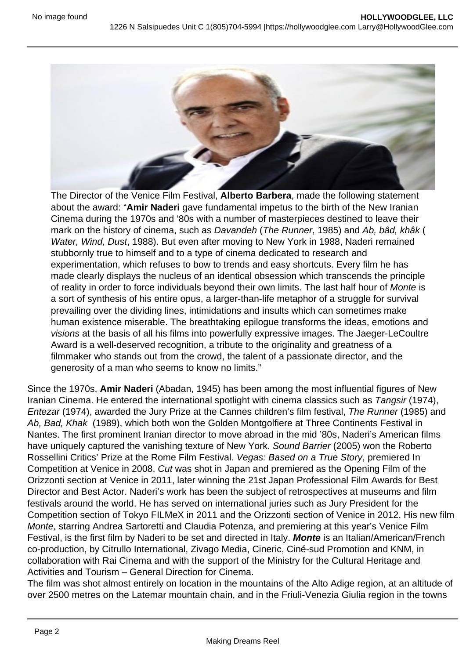

The Director of the Venice Film Festival, **Alberto Barbera**, made the following statement about the award: "**Amir Naderi** gave fundamental impetus to the birth of the New Iranian Cinema during the 1970s and '80s with a number of masterpieces destined to leave their mark on the history of cinema, such as Davandeh (The Runner, 1985) and Ab, bâd, khâk ( Water, Wind, Dust, 1988). But even after moving to New York in 1988, Naderi remained stubbornly true to himself and to a type of cinema dedicated to research and experimentation, which refuses to bow to trends and easy shortcuts. Every film he has made clearly displays the nucleus of an identical obsession which transcends the principle of reality in order to force individuals beyond their own limits. The last half hour of Monte is a sort of synthesis of his entire opus, a larger-than-life metaphor of a struggle for survival prevailing over the dividing lines, intimidations and insults which can sometimes make human existence miserable. The breathtaking epilogue transforms the ideas, emotions and visions at the basis of all his films into powerfully expressive images. The Jaeger-LeCoultre Award is a well-deserved recognition, a tribute to the originality and greatness of a filmmaker who stands out from the crowd, the talent of a passionate director, and the generosity of a man who seems to know no limits."

Since the 1970s, **Amir Naderi** (Abadan, 1945) has been among the most influential figures of New Iranian Cinema. He entered the international spotlight with cinema classics such as Tangsir (1974), Entezar (1974), awarded the Jury Prize at the Cannes children's film festival, The Runner (1985) and Ab, Bad, Khak (1989), which both won the Golden Montgolfiere at Three Continents Festival in Nantes. The first prominent Iranian director to move abroad in the mid '80s, Naderi's American films have uniquely captured the vanishing texture of New York. Sound Barrier (2005) won the Roberto Rossellini Critics' Prize at the Rome Film Festival. Vegas: Based on a True Story, premiered In Competition at Venice in 2008. Cut was shot in Japan and premiered as the Opening Film of the Orizzonti section at Venice in 2011, later winning the 21st Japan Professional Film Awards for Best Director and Best Actor. Naderi's work has been the subject of retrospectives at museums and film festivals around the world. He has served on international juries such as Jury President for the Competition section of Tokyo FILMeX in 2011 and the Orizzonti section of Venice in 2012. His new film Monte, starring Andrea Sartoretti and Claudia Potenza, and premiering at this year's Venice Film Festival, is the first film by Naderi to be set and directed in Italy. **Monte** is an Italian/American/French co-production, by Citrullo International, Zivago Media, Cineric, Ciné-sud Promotion and KNM, in collaboration with Rai Cinema and with the support of the Ministry for the Cultural Heritage and Activities and Tourism – General Direction for Cinema.

The film was shot almost entirely on location in the mountains of the Alto Adige region, at an altitude of over 2500 metres on the Latemar mountain chain, and in the Friuli-Venezia Giulia region in the towns